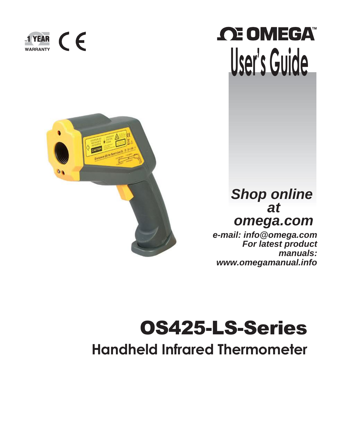





# *Shop online at omega.com*

*[e-mail: info@omega.com](mailto:info@omega.com) For latest product manuals: [www.omegamanual.info](http://www.omegamanual.info/)*

# OS425-LS-Series **Handheld Infrared Thermometer**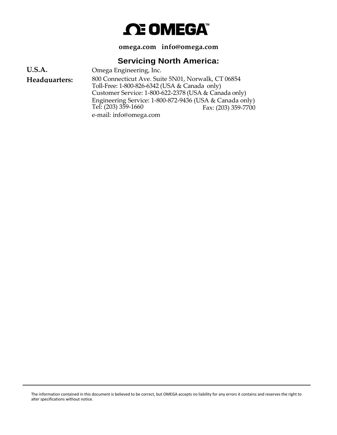# *C***E OMEGA**

**omega.com [info@omega.com](mailto:info@omega.com)**

# **Servicing North America:**

Omega Engineering, Inc. 800 Connecticut Ave. Suite 5N01, Norwalk, CT 06854 Toll-Free: 1-800-826-6342 (USA & Canada only) Customer Service: 1-800-622-2378 (USA & Canada only) Engineering Service: 1-800-872-9436 (USA & Canada only) **U.S.A. Headquarters:** Tel: (203) 359-1660 e-mail: [info@omega.com](mailto:info@omega.com) Fax: (203) 359-7700

The information contained in this document is believed to be correct, but OMEGA accepts no liability for any errors it contains and reserves the right to alter specifications without notice.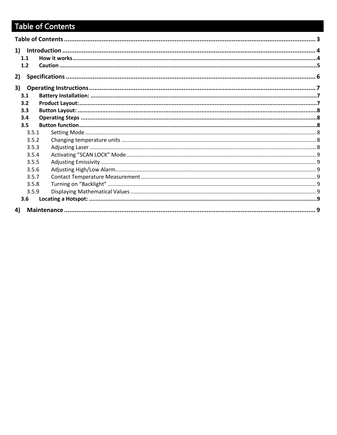# <span id="page-2-0"></span>Table of Contents

| 1.1 |       |  |
|-----|-------|--|
| 1.2 |       |  |
| 2)  |       |  |
|     |       |  |
| 3)  |       |  |
| 3.1 |       |  |
| 3.2 |       |  |
| 3.3 |       |  |
| 3.4 |       |  |
| 3.5 |       |  |
|     | 3.5.1 |  |
|     | 3.5.2 |  |
|     | 3.5.3 |  |
|     | 3.5.4 |  |
|     | 3.5.5 |  |
|     | 3.5.6 |  |
|     | 3.5.7 |  |
|     | 3.5.8 |  |
|     | 3.5.9 |  |
| 3.6 |       |  |
| 4)  |       |  |
|     |       |  |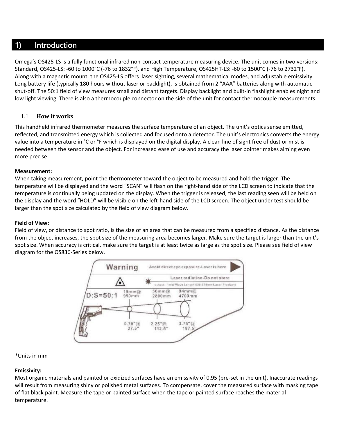# <span id="page-3-0"></span>1) Introduction

Omega's OS425-LS is a fully functional infrared non-contact temperature measuring device. The unit comes in two versions: Standard, OS425-LS: -60 to 1000°C (-76 to 1832°F), and High Temperature, OS425HT-LS: -60 to 1500°C (-76 to 2732°F). Along with a magnetic mount, the OS425-LS offers laser sighting, several mathematical modes, and adjustable emissivity. Long battery life (typically 180 hours without laser or backlight), is obtained from 2 "AAA" batteries along with automatic shut-off. The 50:1 field of view measures small and distant targets. Display backlight and built-in flashlight enables night and low light viewing. There is also a thermocouple connector on the side of the unit for contact thermocouple measurements.

#### <span id="page-3-1"></span>1.1 **How it works**

This handheld infrared thermometer measures the surface temperature of an object. The unit's optics sense emitted, reflected, and transmitted energy which is collected and focused onto a detector. The unit's electronics converts the energy value into a temperature in °C or °F which is displayed on the digital display. A clean line of sight free of dust or mist is needed between the sensor and the object. For increased ease of use and accuracy the laser pointer makes aiming even more precise.

#### **Measurement:**

When taking measurement, point the thermometer toward the object to be measured and hold the trigger. The temperature will be displayed and the word "SCAN" will flash on the right-hand side of the LCD screen to indicate that the temperature is continually being updated on the display. When the trigger is released, the last reading seen will be held on the display and the word "HOLD" will be visible on the left-hand side of the LCD screen. The object under test should be larger than the spot size calculated by the field of view diagram below.

#### **Field of View:**

Field of view, or distance to spot ratio, is the size of an area that can be measured from a specified distance. As the distance from the object increases, the spot size of the measuring area becomes larger. Make sure the target is larger than the unit's spot size. When accuracy is critical, make sure the target is at least twice as large as the spot size. Please see field of view diagram for the OS836-Series below.



#### \*Units in mm

#### **Emissivity:**

Most organic materials and painted or oxidized surfaces have an emissivity of 0.95 (pre-set in the unit). Inaccurate readings will result from measuring shiny or polished metal surfaces. To compensate, cover the measured surface with masking tape of flat black paint. Measure the tape or painted surface when the tape or painted surface reaches the material temperature.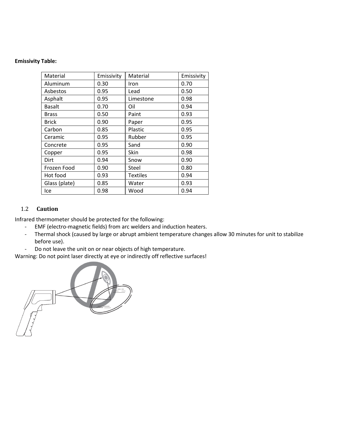#### **Emissivity Table:**

| Material      | Emissivity | Material        | Emissivity |
|---------------|------------|-----------------|------------|
| Aluminum      | 0.30       | Iron            | 0.70       |
| Asbestos      | 0.95       | Lead            | 0.50       |
| Asphalt       | 0.95       | Limestone       | 0.98       |
| <b>Basalt</b> | 0.70       | Oil             | 0.94       |
| <b>Brass</b>  | 0.50       | Paint           | 0.93       |
| <b>Brick</b>  | 0.90       | Paper           | 0.95       |
| Carbon        | 0.85       | Plastic         | 0.95       |
| Ceramic       | 0.95       | Rubber          | 0.95       |
| Concrete      | 0.95       | Sand            | 0.90       |
| Copper        | 0.95       | Skin            | 0.98       |
| Dirt          | 0.94       | Snow            | 0.90       |
| Frozen Food   | 0.90       | Steel           | 0.80       |
| Hot food      | 0.93       | <b>Textiles</b> | 0.94       |
| Glass (plate) | 0.85       | Water           | 0.93       |
| lce           | 0.98       | Wood            | 0.94       |

#### <span id="page-4-0"></span>1.2 **Caution**

Infrared thermometer should be protected for the following:

- EMF (electro-magnetic fields) from arc welders and induction heaters.
- Thermal shock (caused by large or abrupt ambient temperature changes allow 30 minutes for unit to stabilize before use).
- Do not leave the unit on or near objects of high temperature.

Warning: Do not point laser directly at eye or indirectly off reflective surfaces!

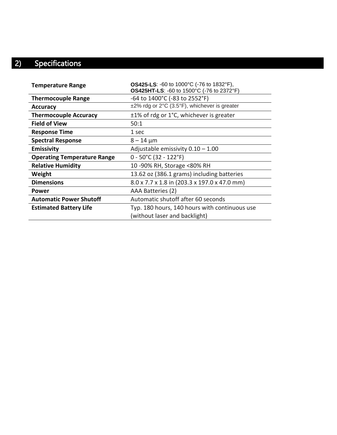# <span id="page-5-0"></span>2) Specifications

| <b>Temperature Range</b>           | <b>OS425-LS: -60 to 1000°C (-76 to 1832°F),</b><br>OS425HT-LS: -60 to 1500°C (-76 to 2372°F) |
|------------------------------------|----------------------------------------------------------------------------------------------|
| <b>Thermocouple Range</b>          | -64 to 1400°C (-83 to 2552°F)                                                                |
| <b>Accuracy</b>                    | $\pm$ 2% rdg or 2°C (3.5°F), whichever is greater                                            |
| <b>Thermocouple Accuracy</b>       | ±1% of rdg or 1°C, whichever is greater                                                      |
| <b>Field of View</b>               | 50:1                                                                                         |
| <b>Response Time</b>               | 1 sec                                                                                        |
| <b>Spectral Response</b>           | $8 - 14 \mu m$                                                                               |
| <b>Emissivity</b>                  | Adjustable emissivity $0.10 - 1.00$                                                          |
| <b>Operating Temperature Range</b> | $0 - 50^{\circ}$ C (32 - 122°F)                                                              |
| <b>Relative Humidity</b>           | 10 -90% RH, Storage <80% RH                                                                  |
| Weight                             | 13.62 oz (386.1 grams) including batteries                                                   |
| <b>Dimensions</b>                  | 8.0 x 7.7 x 1.8 in (203.3 x 197.0 x 47.0 mm)                                                 |
| Power                              | AAA Batteries (2)                                                                            |
| <b>Automatic Power Shutoff</b>     | Automatic shutoff after 60 seconds                                                           |
| <b>Estimated Battery Life</b>      | Typ. 180 hours, 140 hours with continuous use                                                |
|                                    | (without laser and backlight)                                                                |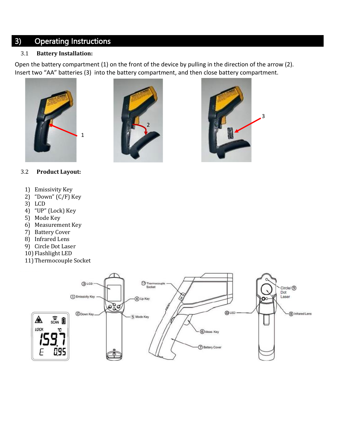# <span id="page-6-0"></span>3) Operating Instructions

#### <span id="page-6-1"></span>3.1 **Battery Installation:**

Open the battery compartment (1) on the front of the device by pulling in the direction of the arrow (2). Insert two "AA" batteries (3) into the battery compartment, and then close battery compartment.







#### <span id="page-6-2"></span>3.2 **Product Layout:**

- 1) Emissivity Key
- 2) "Down" (C/F) Key
- 3) LCD
- 4) "UP" (Lock) Key
- 5) Mode Key
- 6) Measurement Key
- 7) Battery Cover
- 8) Infrared Lens
- 9) Circle Dot Laser
- 10) Flashlight LED
- 11)Thermocouple Socket

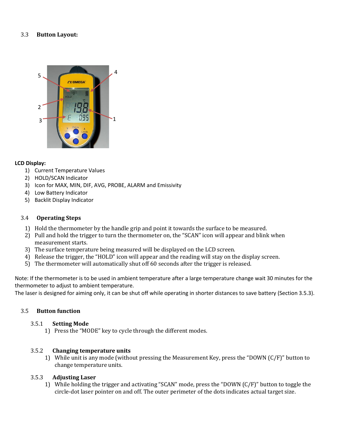#### <span id="page-7-0"></span>3.3 **Button Layout:**



#### **LCD Display:**

- 1) Current Temperature Values
- 2) HOLD/SCAN Indicator
- 3) Icon for MAX, MIN, DIF, AVG, PROBE, ALARM and Emissivity
- 4) Low Battery Indicator
- 5) Backlit Display Indicator

#### <span id="page-7-1"></span>3.4 **Operating Steps**

- 1) Hold the thermometer by the handle grip and point it towards the surface to be measured.
- 2) Pull and hold the trigger to turn the thermometer on, the "SCAN" icon will appear and blink when measurement starts.
- 3) The surface temperature being measured will be displayed on the LCD screen.
- 4) Release the trigger, the "HOLD" icon will appear and the reading will stay on the display screen.
- 5) The thermometer will automatically shut off 60 seconds after the trigger is released.

Note: If the thermometer is to be used in ambient temperature after a large temperature change wait 30 minutes for the thermometer to adjust to ambient temperature.

The laser is designed for aiming only, it can be shut off while operating in shorter distances to save battery (Section 3.5.3).

#### <span id="page-7-3"></span><span id="page-7-2"></span>3.5 **Button function**

#### 3.5.1 **Setting Mode**

1) Press the "MODE" key to cycle through the different modes.

#### <span id="page-7-4"></span>3.5.2 **Changing temperature units**

1) While unit is any mode (without pressing the Measurement Key, press the "DOWN (C/F)" button to change temperature units.

#### <span id="page-7-5"></span>3.5.3 **Adjusting Laser**

1) While holding the trigger and activating "SCAN" mode, press the "DOWN (C/F)" button to toggle the circle-dot laser pointer on and off. The outer perimeter of the dots indicates actual target size.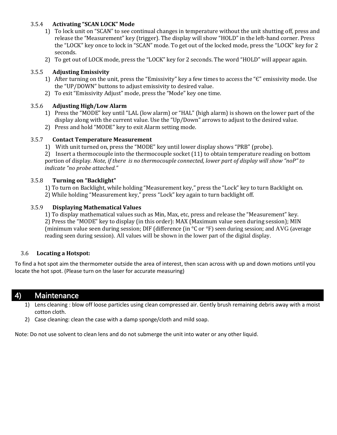#### <span id="page-8-0"></span>3.5.4 **Activating "SCAN LOCK" Mode**

- 1) To lock unit on "SCAN" to see continual changes in temperature without the unit shutting off, press and release the "Measurement" key (trigger). The display will show "HOLD" in the left-hand corner. Press the "LOCK" key once to lock in "SCAN" mode. To get out of the locked mode, press the "LOCK" key for 2 seconds.
- 2) To get out of LOCK mode, press the "LOCK" key for 2 seconds. The word "HOLD" will appear again.

#### <span id="page-8-1"></span>3.5.5 **Adjusting Emissivity**

- 1) After turning on the unit, press the "Emissivity" key a few times to access the "Є" emissivity mode. Use the "UP/DOWN" buttons to adjust emissivity to desired value.
- 2) To exit "Emissivity Adjust" mode, press the "Mode" key one time.

#### <span id="page-8-2"></span>3.5.6 **Adjusting High/Low Alarm**

- 1) Press the "MODE" key until "LAL (low alarm) or "HAL" (high alarm) is shown on the lower part of the display along with the current value. Use the "Up/Down" arrows to adjust to the desired value.
- 2) Press and hold "MODE" key to exit Alarm setting mode.

#### <span id="page-8-3"></span>3.5.7 **Contact Temperature Measurement**

1) With unit turned on, press the "MODE" key until lower display shows "PRB" (probe).

2) Insert a thermocouple into the thermocouple socket (11) to obtain temperature reading on bottom portion of display. *Note, if there is no thermocouple connected, lower part of display will show "noP" to indicate "no probe attached."*

#### <span id="page-8-4"></span>3.5.8 **Turning on "Backlight"**

1) To turn on Backlight, while holding "Measurement key," press the "Lock" key to turn Backlight on.

2) While holding "Measurement key," press "Lock" key again to turn backlight off.

#### <span id="page-8-5"></span>3.5.9 **Displaying Mathematical Values**

1) To display mathematical values such as Min, Max, etc, press and release the "Measurement" key. 2) Press the "MODE" key to display (in this order): MAX (Maximum value seen during session); MIN (minimum value seen during session; DIF (difference (in °C or °F) seen during session; and AVG (average reading seen during session). All values will be shown in the lower part of the digital display.

#### <span id="page-8-6"></span>3.6 **Locating a Hotspot:**

To find a hot spot aim the thermometer outside the area of interest, then scan across with up and down motions until you locate the hot spot. (Please turn on the laser for accurate measuring)

## <span id="page-8-7"></span>4) Maintenance

- 1) Lens cleaning : blow off loose particles using clean compressed air. Gently brush remaining debris away with a moist cotton cloth.
- 2) Case cleaning: clean the case with a damp sponge/cloth and mild soap.

Note: Do not use solvent to clean lens and do not submerge the unit into water or any other liquid.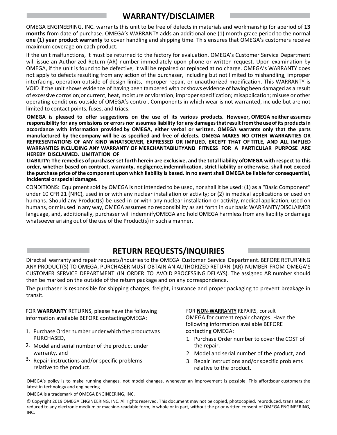# **WARRANTY/DISCLAIMER**

OMEGA ENGINEERING, INC. warrants this unit to be free of defects in materials and workmanship for aperiod of **13 months** from date of purchase. OMEGA's WARRANTY adds an additional one (1) month grace period to the normal **one (1) year product warranty** to cover handling and shipping time. This ensures that OMEGA's customers receive maximum coverage on each product.

If the unit malfunctions, it must be returned to the factory for evaluation. OMEGA's Customer Service Department will issue an Authorized Return (AR) number immediately upon phone or written request. Upon examination by OMEGA, if the unit is found to be defective, it will be repaired or replaced at no charge. OMEGA's WARRANTY does not apply to defects resulting from any action of the purchaser, including but not limited to mishandling, improper interfacing, operation outside of design limits, improper repair, or unauthorized modification. This WARRANTY is VOID if the unit shows evidence of having been tampered with orshows evidence of having been damaged as a result of excessive corrosion;or current, heat, moisture or vibration; improperspecification; misapplication; misuse or other operating conditions outside of OMEGA's control. Components in which wear is not warranted, include but are not limited to contact points, fuses, and triacs.

**OMEGA is pleased to offer suggestions on the use of its various products. However, OMEGA neither assumes responsibility for any omissions or errors nor assumes liability for any damagesthatresultfrom the useofits productsin accordance with information provided by OMEGA, either verbal or written. OMEGA warrants only that the parts manufactured by thecompany will be as specified and free of defects. OMEGA MAKES NO OTHER WARRANTIES OR REPRESENTATIONS OF ANY KIND WHATSOEVER, EXPRESSED OR IMPLIED, EXCEPT THAT OF TITLE, AND ALL IMPLIED WARRANTIES INCLUDING ANY WARRANTY OF MERCHANTABILITYAND FITNESS FOR A PARTICULAR PURPOSE ARE HEREBY DISCLAIMED. LIMITATION OF**

LIABILITY: The remedies of purchaser set forth herein are exclusive, and the total liability ofOMEGA with respect to this **order, whether based on contract, warranty, negligence,indemnification, strict liability or otherwise, shall not exceed the purchase price of the component upon which liability is based. In no eventshall OMEGA be liable for consequential, incidental orspecial damages.**

CONDITIONS: Equipment sold by OMEGA is not intended to be used, norshall it be used: (1) as a "Basic Component" under 10 CFR 21 (NRC), used in or with any nuclear installation or activity; or (2) in medical applications or used on humans. Should any Product(s) be used in or with any nuclear installation or activity, medical application, used on humans, or misused in any way, OMEGA assumes no responsibility as set forth in our basic WARRANTY/DISCLAIMER language, and, additionally, purchaser will indemnifyOMEGA and hold OMEGA harmlessfrom any liability or damage whatsoever arising out of the use of the Product(s) in such a manner.

# **RETURN REQUESTS/INQUIRIES**

Direct all warranty and repair requests/inquiries to the OMEGA Customer Service Department. BEFORE RETURNING ANY PRODUCT(S) TO OMEGA, PURCHASER MUST OBTAIN AN AUTHORIZED RETURN (AR) NUMBER FROM OMEGA'S CUSTOMER SERVICE DEPARTMENT (IN ORDER TO AVOID PROCESSING DELAYS). The assigned AR number should then be marked on the outside of the return package and on any correspondence.

The purchaser is responsible for shipping charges, freight, insurance and proper packaging to prevent breakage in transit.

FOR **WARRANTY** RETURNS, please have the following information available BEFORE contactingOMEGA:

- 1. Purchase Order number under which the productwas PURCHASED,
- 2. Model and serial number of the product under warranty, and
- 3. Repair instructions and/or specific problems relative to the product.

FOR **NON-WARRANTY** REPAIRS, consult OMEGA for current repair charges. Have the following information available BEFORE contacting OMEGA:

- 1. Purchase Order number to cover the COST of the repair,
- 2. Model and serial number of the product, and
- 3. Repair instructions and/or specific problems relative to the product.

OMEGA's policy is to make running changes, not model changes, whenever an improvement is possible. This affordsour customers the latest in technology and engineering.

OMEGA is a trademark of OMEGA ENGINEERING, INC.

© Copyright 2019 OMEGA ENGINEERING, INC. All rights reserved. This document may not be copied, photocopied, reproduced, translated, or reduced to any electronic medium or machine-readable form, in whole or in part, without the prior written consent of OMEGA ENGINEERING, INC.